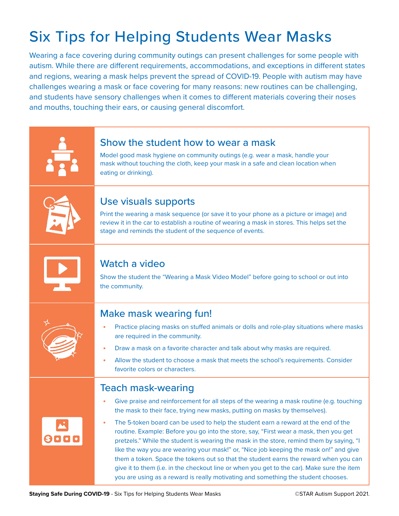## Six Tips for Helping Students Wear Masks

Wearing a face covering during community outings can present challenges for some people with autism. While there are different requirements, accommodations, and exceptions in different states and regions, wearing a mask helps prevent the spread of COVID-19. People with autism may have challenges wearing a mask or face covering for many reasons: new routines can be challenging, and students have sensory challenges when it comes to different materials covering their noses and mouths, touching their ears, or causing general discomfort.

|      | Show the student how to wear a mask<br>Model good mask hygiene on community outings (e.g. wear a mask, handle your<br>mask without touching the cloth, keep your mask in a safe and clean location when<br>eating or drinking).                                                                                                                                                                                                                                                                                                                                                                                                                                                                                                                                                                                                                                |
|------|----------------------------------------------------------------------------------------------------------------------------------------------------------------------------------------------------------------------------------------------------------------------------------------------------------------------------------------------------------------------------------------------------------------------------------------------------------------------------------------------------------------------------------------------------------------------------------------------------------------------------------------------------------------------------------------------------------------------------------------------------------------------------------------------------------------------------------------------------------------|
|      | Use visuals supports<br>Print the wearing a mask sequence (or save it to your phone as a picture or image) and<br>review it in the car to establish a routine of wearing a mask in stores. This helps set the<br>stage and reminds the student of the sequence of events.                                                                                                                                                                                                                                                                                                                                                                                                                                                                                                                                                                                      |
|      | Watch a video<br>Show the student the "Wearing a Mask Video Model" before going to school or out into<br>the community.                                                                                                                                                                                                                                                                                                                                                                                                                                                                                                                                                                                                                                                                                                                                        |
|      | <b>Make mask wearing fun!</b><br>Practice placing masks on stuffed animals or dolls and role-play situations where masks<br>are required in the community.<br>Draw a mask on a favorite character and talk about why masks are required.<br>۰<br>Allow the student to choose a mask that meets the school's requirements. Consider<br>favorite colors or characters.                                                                                                                                                                                                                                                                                                                                                                                                                                                                                           |
| 8000 | <b>Teach mask-wearing</b><br>Give praise and reinforcement for all steps of the wearing a mask routine (e.g. touching<br>$\bullet$<br>the mask to their face, trying new masks, putting on masks by themselves).<br>The 5-token board can be used to help the student earn a reward at the end of the<br>routine. Example: Before you go into the store, say, "First wear a mask, then you get<br>pretzels." While the student is wearing the mask in the store, remind them by saying, "I<br>like the way you are wearing your mask!" or, "Nice job keeping the mask on!" and give<br>them a token. Space the tokens out so that the student earns the reward when you can<br>give it to them (i.e. in the checkout line or when you get to the car). Make sure the item<br>you are using as a reward is really motivating and something the student chooses. |